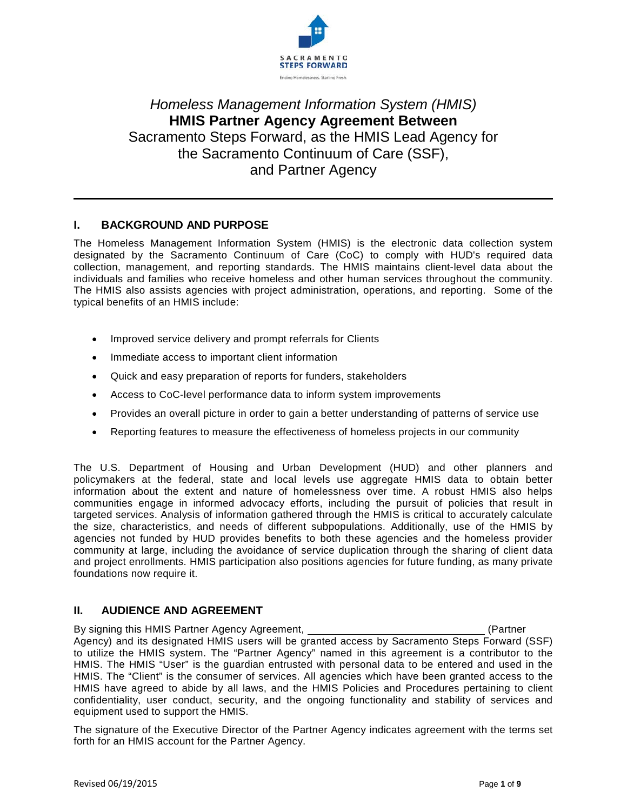

# Homeless Management Information System (HMIS) **HMIS Partner Agency Agreement Between** Sacramento Steps Forward, as the HMIS Lead Agency for the Sacramento Continuum of Care (SSF). and Partner Agency

### **BACKGROUND AND PURPOSE** L.

The Homeless Management Information System (HMIS) is the electronic data collection system designated by the Sacramento Continuum of Care (CoC) to comply with HUD's required data collection, management, and reporting standards. The HMIS maintains client-level data about the individuals and families who receive homeless and other human services throughout the community. The HMIS also assists agencies with project administration, operations, and reporting. Some of the typical benefits of an HMIS include:

- Improved service delivery and prompt referrals for Clients
- Immediate access to important client information
- Quick and easy preparation of reports for funders, stakeholders  $\bullet$
- Access to CoC-level performance data to inform system improvements  $\bullet$
- Provides an overall picture in order to gain a better understanding of patterns of service use
- Reporting features to measure the effectiveness of homeless projects in our community

The U.S. Department of Housing and Urban Development (HUD) and other planners and policymakers at the federal, state and local levels use aggregate HMIS data to obtain better information about the extent and nature of homelessness over time. A robust HMIS also helps communities engage in informed advocacy efforts, including the pursuit of policies that result in targeted services. Analysis of information gathered through the HMIS is critical to accurately calculate the size, characteristics, and needs of different subpopulations. Additionally, use of the HMIS by agencies not funded by HUD provides benefits to both these agencies and the homeless provider community at large, including the avoidance of service duplication through the sharing of client data and project enrollments. HMIS participation also positions agencies for future funding, as many private foundations now require it.

### $II.$ **AUDIENCE AND AGREEMENT**

By signing this HMIS Partner Agency Agreement, (Partner Agency) and its designated HMIS users will be granted access by Sacramento Steps Forward (SSF) to utilize the HMIS system. The "Partner Agency" named in this agreement is a contributor to the HMIS. The HMIS "User" is the guardian entrusted with personal data to be entered and used in the HMIS. The "Client" is the consumer of services. All agencies which have been granted access to the HMIS have agreed to abide by all laws, and the HMIS Policies and Procedures pertaining to client confidentiality, user conduct, security, and the ongoing functionality and stability of services and equipment used to support the HMIS.

The signature of the Executive Director of the Partner Agency indicates agreement with the terms set forth for an HMIS account for the Partner Agency.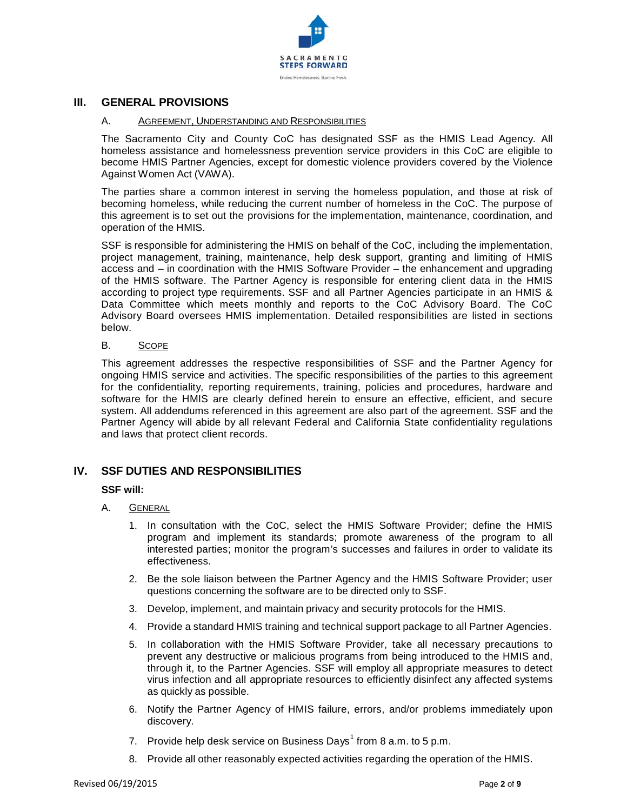

### $III.$ **GENERAL PROVISIONS**

#### $A_{1}$ AGREEMENT, UNDERSTANDING AND RESPONSIBILITIES

The Sacramento City and County CoC has designated SSF as the HMIS Lead Agency. All homeless assistance and homelessness prevention service providers in this CoC are eligible to become HMIS Partner Agencies, except for domestic violence providers covered by the Violence Against Women Act (VAWA).

The parties share a common interest in serving the homeless population, and those at risk of becoming homeless, while reducing the current number of homeless in the CoC. The purpose of this agreement is to set out the provisions for the implementation, maintenance, coordination, and operation of the HMIS.

SSF is responsible for administering the HMIS on behalf of the CoC, including the implementation, project management, training, maintenance, help desk support, granting and limiting of HMIS access and – in coordination with the HMIS Software Provider – the enhancement and upgrading of the HMIS software. The Partner Agency is responsible for entering client data in the HMIS according to project type requirements. SSF and all Partner Agencies participate in an HMIS & Data Committee which meets monthly and reports to the CoC Advisory Board. The CoC Advisory Board oversees HMIS implementation. Detailed responsibilities are listed in sections below.

#### **B. SCOPE**

This agreement addresses the respective responsibilities of SSF and the Partner Agency for ongoing HMIS service and activities. The specific responsibilities of the parties to this agreement for the confidentiality, reporting requirements, training, policies and procedures, hardware and software for the HMIS are clearly defined herein to ensure an effective, efficient, and secure system. All addendums referenced in this agreement are also part of the agreement. SSF and the Partner Agency will abide by all relevant Federal and California State confidentiality regulations and laws that protect client records.

# IV. SSF DUTIES AND RESPONSIBILITIES

### **SSF will:**

- A. **GENERAL** 
	- 1. In consultation with the CoC, select the HMIS Software Provider; define the HMIS program and implement its standards; promote awareness of the program to all interested parties; monitor the program's successes and failures in order to validate its effectiveness.
	- 2. Be the sole liaison between the Partner Agency and the HMIS Software Provider; user questions concerning the software are to be directed only to SSF.
	- 3. Develop, implement, and maintain privacy and security protocols for the HMIS.
	- 4. Provide a standard HMIS training and technical support package to all Partner Agencies.
	- 5. In collaboration with the HMIS Software Provider, take all necessary precautions to prevent any destructive or malicious programs from being introduced to the HMIS and, through it, to the Partner Agencies. SSF will employ all appropriate measures to detect virus infection and all appropriate resources to efficiently disinfect any affected systems as quickly as possible.
	- 6. Notify the Partner Agency of HMIS failure, errors, and/or problems immediately upon discovery.
	- 7. Provide help desk service on Business Days<sup>1</sup> from 8 a.m. to 5 p.m.
	- 8. Provide all other reasonably expected activities regarding the operation of the HMIS.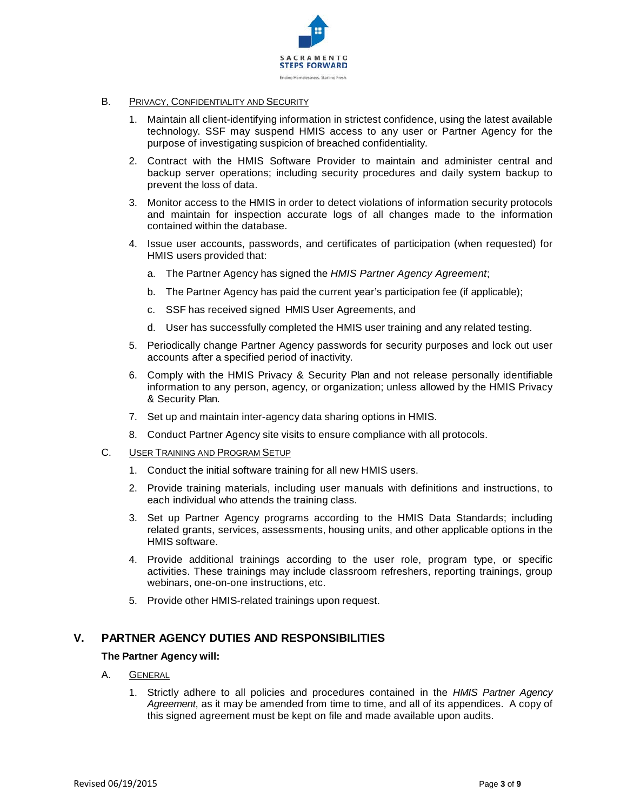

- **B.** PRIVACY, CONFIDENTIALITY AND SECURITY
	- 1. Maintain all client-identifying information in strictest confidence, using the latest available technology. SSF may suspend HMIS access to any user or Partner Agency for the purpose of investigating suspicion of breached confidentiality.
	- 2. Contract with the HMIS Software Provider to maintain and administer central and backup server operations; including security procedures and daily system backup to prevent the loss of data.
	- 3. Monitor access to the HMIS in order to detect violations of information security protocols and maintain for inspection accurate logs of all changes made to the information contained within the database.
	- 4. Issue user accounts, passwords, and certificates of participation (when requested) for HMIS users provided that:
		- a. The Partner Agency has signed the HMIS Partner Agency Agreement;
		- b. The Partner Agency has paid the current year's participation fee (if applicable);
		- c. SSF has received signed HMIS User Agreements, and
		- d. User has successfully completed the HMIS user training and any related testing.
	- 5. Periodically change Partner Agency passwords for security purposes and lock out user accounts after a specified period of inactivity.
	- 6. Comply with the HMIS Privacy & Security Plan and not release personally identifiable information to any person, agency, or organization; unless allowed by the HMIS Privacy & Security Plan.
	- 7. Set up and maintain inter-agency data sharing options in HMIS.
	- 8. Conduct Partner Agency site visits to ensure compliance with all protocols.
- $C_{1}$ **USER TRAINING AND PROGRAM SETUP** 
	- 1. Conduct the initial software training for all new HMIS users.
	- 2. Provide training materials, including user manuals with definitions and instructions, to each individual who attends the training class.
	- 3. Set up Partner Agency programs according to the HMIS Data Standards; including related grants, services, assessments, housing units, and other applicable options in the HMIS software.
	- 4. Provide additional trainings according to the user role, program type, or specific activities. These trainings may include classroom refreshers, reporting trainings, group webinars, one-on-one instructions, etc.
	- 5. Provide other HMIS-related trainings upon request.

### V. PARTNER AGENCY DUTIES AND RESPONSIBILITIES

### The Partner Agency will:

- A. **GENERAL** 
	- $1.$ Strictly adhere to all policies and procedures contained in the HMIS Partner Agency Agreement, as it may be amended from time to time, and all of its appendices. A copy of this signed agreement must be kept on file and made available upon audits.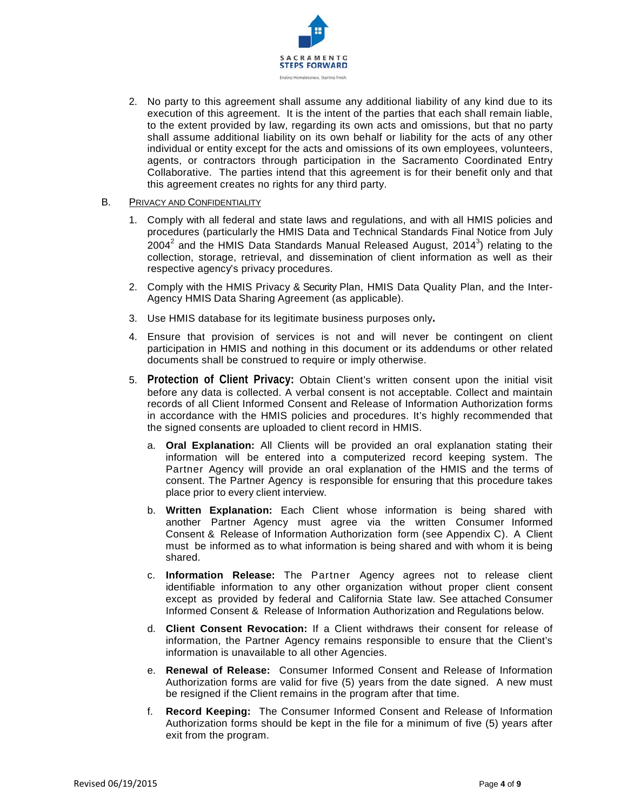

2. No party to this agreement shall assume any additional liability of any kind due to its execution of this agreement. It is the intent of the parties that each shall remain liable, to the extent provided by law, regarding its own acts and omissions, but that no party shall assume additional liability on its own behalf or liability for the acts of any other individual or entity except for the acts and omissions of its own employees, volunteers, agents, or contractors through participation in the Sacramento Coordinated Entry Collaborative. The parties intend that this agreement is for their benefit only and that this agreement creates no rights for any third party.

#### **B.** PRIVACY AND CONFIDENTIALITY

- 1. Comply with all federal and state laws and regulations, and with all HMIS policies and procedures (particularly the HMIS Data and Technical Standards Final Notice from July  $2004<sup>2</sup>$  and the HMIS Data Standards Manual Released August, 2014<sup>3</sup>) relating to the collection, storage, retrieval, and dissemination of client information as well as their respective agency's privacy procedures.
- 2. Comply with the HMIS Privacy & Security Plan, HMIS Data Quality Plan, and the Inter-Agency HMIS Data Sharing Agreement (as applicable).
- 3. Use HMIS database for its legitimate business purposes only.
- 4. Ensure that provision of services is not and will never be contingent on client participation in HMIS and nothing in this document or its addendums or other related documents shall be construed to require or imply otherwise.
- 5. Protection of Client Privacy: Obtain Client's written consent upon the initial visit before any data is collected. A verbal consent is not acceptable. Collect and maintain records of all Client Informed Consent and Release of Information Authorization forms in accordance with the HMIS policies and procedures. It's highly recommended that the signed consents are uploaded to client record in HMIS.
	- a. Oral Explanation: All Clients will be provided an oral explanation stating their information will be entered into a computerized record keeping system. The Partner Agency will provide an oral explanation of the HMIS and the terms of consent. The Partner Agency is responsible for ensuring that this procedure takes place prior to every client interview.
	- b. Written Explanation: Each Client whose information is being shared with another Partner Agency must agree via the written Consumer Informed Consent & Release of Information Authorization form (see Appendix C). A Client must be informed as to what information is being shared and with whom it is being shared.
	- c. Information Release: The Partner Agency agrees not to release client identifiable information to any other organization without proper client consent except as provided by federal and California State law. See attached Consumer Informed Consent & Release of Information Authorization and Regulations below.
	- d. Client Consent Revocation: If a Client withdraws their consent for release of information, the Partner Agency remains responsible to ensure that the Client's information is unavailable to all other Agencies.
	- e. Renewal of Release: Consumer Informed Consent and Release of Information Authorization forms are valid for five (5) years from the date signed. A new must be resigned if the Client remains in the program after that time.
	- Record Keeping: The Consumer Informed Consent and Release of Information  $f_{\rm{r}}$ Authorization forms should be kept in the file for a minimum of five (5) years after exit from the program.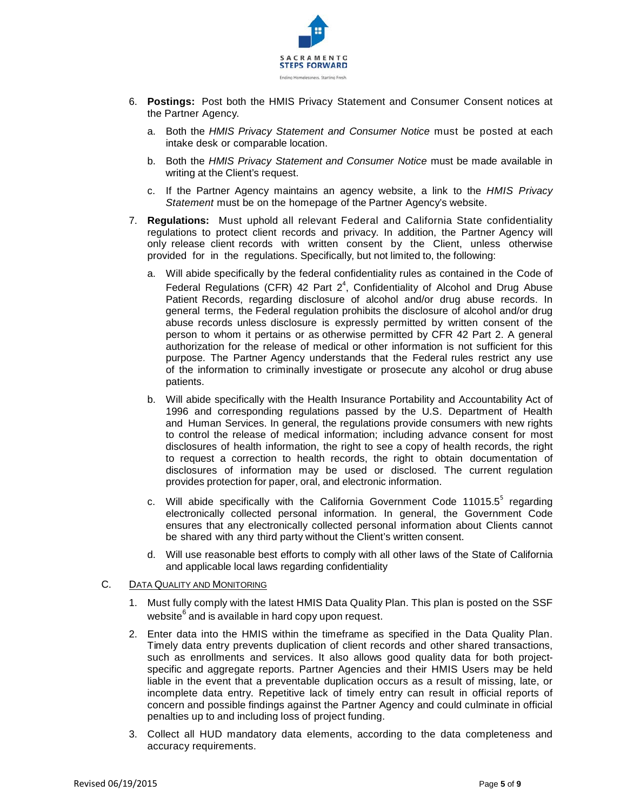

- 6. Postings: Post both the HMIS Privacy Statement and Consumer Consent notices at the Partner Agency.
	- a. Both the HMIS Privacy Statement and Consumer Notice must be posted at each intake desk or comparable location.
	- b. Both the *HMIS Privacy Statement and Consumer Notice* must be made available in writing at the Client's request.
	- c. If the Partner Agency maintains an agency website, a link to the HMIS Privacy Statement must be on the homepage of the Partner Agency's website.
- 7. Regulations: Must uphold all relevant Federal and California State confidentiality regulations to protect client records and privacy. In addition, the Partner Agency will only release client records with written consent by the Client, unless otherwise provided for in the regulations. Specifically, but not limited to, the following:
	- a. Will abide specifically by the federal confidentiality rules as contained in the Code of Federal Regulations (CFR) 42 Part  $2^4$ , Confidentiality of Alcohol and Drug Abuse Patient Records, regarding disclosure of alcohol and/or drug abuse records. In general terms, the Federal regulation prohibits the disclosure of alcohol and/or drug abuse records unless disclosure is expressly permitted by written consent of the person to whom it pertains or as otherwise permitted by CFR 42 Part 2. A general authorization for the release of medical or other information is not sufficient for this purpose. The Partner Agency understands that the Federal rules restrict any use of the information to criminally investigate or prosecute any alcohol or drug abuse patients.
	- b. Will abide specifically with the Health Insurance Portability and Accountability Act of 1996 and corresponding regulations passed by the U.S. Department of Health and Human Services. In general, the regulations provide consumers with new rights to control the release of medical information; including advance consent for most disclosures of health information, the right to see a copy of health records, the right to request a correction to health records, the right to obtain documentation of disclosures of information may be used or disclosed. The current regulation provides protection for paper, oral, and electronic information.
	- c. Will abide specifically with the California Government Code 11015.5<sup>5</sup> regarding electronically collected personal information. In general, the Government Code ensures that any electronically collected personal information about Clients cannot be shared with any third party without the Client's written consent.
	- d. Will use reasonable best efforts to comply with all other laws of the State of California and applicable local laws regarding confidentiality

#### $C_{1}$ **DATA QUALITY AND MONITORING**

- 1. Must fully comply with the latest HMIS Data Quality Plan. This plan is posted on the SSF website<sup>6</sup> and is available in hard copy upon request.
- 2. Enter data into the HMIS within the timeframe as specified in the Data Quality Plan. Timely data entry prevents duplication of client records and other shared transactions, such as enrollments and services. It also allows good quality data for both projectspecific and aggregate reports. Partner Agencies and their HMIS Users may be held liable in the event that a preventable duplication occurs as a result of missing, late, or incomplete data entry. Repetitive lack of timely entry can result in official reports of concern and possible findings against the Partner Agency and could culminate in official penalties up to and including loss of project funding.
- 3. Collect all HUD mandatory data elements, according to the data completeness and accuracy requirements.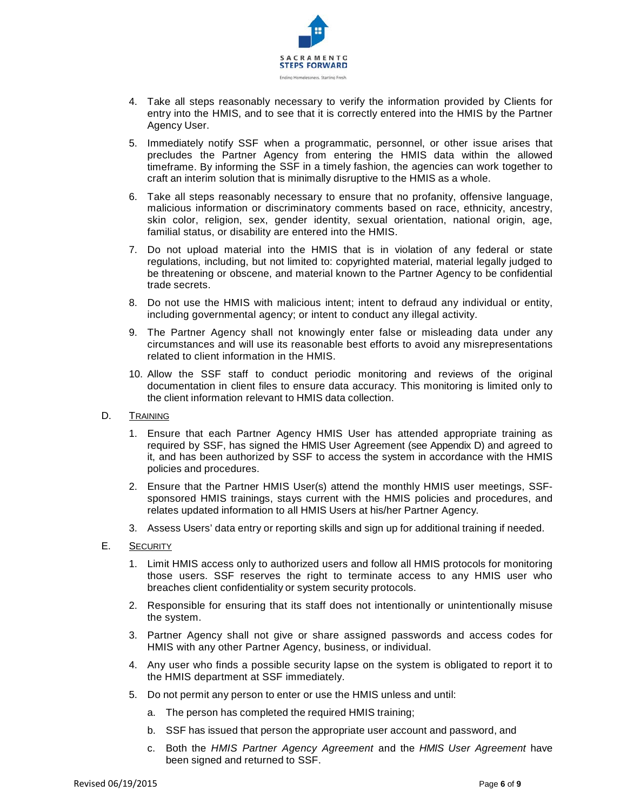

- 4. Take all steps reasonably necessary to verify the information provided by Clients for entry into the HMIS, and to see that it is correctly entered into the HMIS by the Partner Agency User.
- 5. Immediately notify SSF when a programmatic, personnel, or other issue arises that precludes the Partner Agency from entering the HMIS data within the allowed timeframe. By informing the SSF in a timely fashion, the agencies can work together to craft an interim solution that is minimally disruptive to the HMIS as a whole.
- 6. Take all steps reasonably necessary to ensure that no profanity, offensive language, malicious information or discriminatory comments based on race, ethnicity, ancestry, skin color, religion, sex, gender identity, sexual orientation, national origin, age, familial status, or disability are entered into the HMIS.
- 7. Do not upload material into the HMIS that is in violation of any federal or state regulations, including, but not limited to: copyrighted material, material legally judged to be threatening or obscene, and material known to the Partner Agency to be confidential trade secrets.
- 8. Do not use the HMIS with malicious intent; intent to defraud any individual or entity, including governmental agency; or intent to conduct any illegal activity.
- 9. The Partner Agency shall not knowingly enter false or misleading data under any circumstances and will use its reasonable best efforts to avoid any misrepresentations related to client information in the HMIS.
- 10. Allow the SSF staff to conduct periodic monitoring and reviews of the original documentation in client files to ensure data accuracy. This monitoring is limited only to the client information relevant to HMIS data collection.
- D. TRAINING
	- 1. Ensure that each Partner Agency HMIS User has attended appropriate training as required by SSF, has signed the HMIS User Agreement (see Appendix D) and agreed to it, and has been authorized by SSF to access the system in accordance with the HMIS policies and procedures.
	- 2. Ensure that the Partner HMIS User(s) attend the monthly HMIS user meetings, SSFsponsored HMIS trainings, stays current with the HMIS policies and procedures, and relates updated information to all HMIS Users at his/her Partner Agency.
	- 3. Assess Users' data entry or reporting skills and sign up for additional training if needed.
- Ε. **SECURITY** 
	- 1. Limit HMIS access only to authorized users and follow all HMIS protocols for monitoring those users. SSF reserves the right to terminate access to any HMIS user who breaches client confidentiality or system security protocols.
	- 2. Responsible for ensuring that its staff does not intentionally or unintentionally misuse the system.
	- 3. Partner Agency shall not give or share assigned passwords and access codes for HMIS with any other Partner Agency, business, or individual.
	- 4. Any user who finds a possible security lapse on the system is obligated to report it to the HMIS department at SSF immediately.
	- 5. Do not permit any person to enter or use the HMIS unless and until:
		- a. The person has completed the required HMIS training;
		- b. SSF has issued that person the appropriate user account and password, and
		- c. Both the HMIS Partner Agency Agreement and the HMIS User Agreement have been signed and returned to SSF.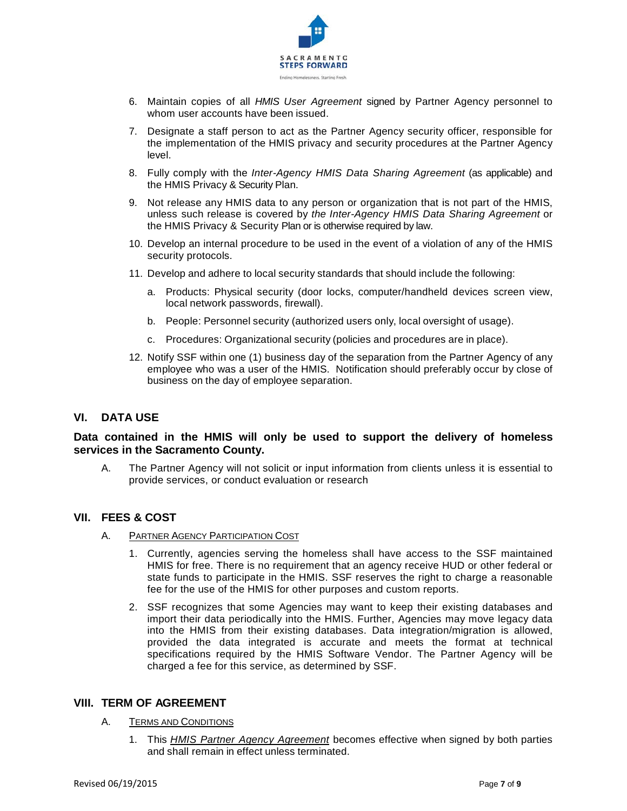

- 6. Maintain copies of all HMIS User Agreement signed by Partner Agency personnel to whom user accounts have been issued.
- 7. Designate a staff person to act as the Partner Agency security officer, responsible for the implementation of the HMIS privacy and security procedures at the Partner Agency level
- 8. Fully comply with the *Inter-Agency HMIS Data Sharing Agreement* (as applicable) and the HMIS Privacy & Security Plan.
- 9. Not release any HMIS data to any person or organization that is not part of the HMIS, unless such release is covered by the Inter-Agency HMIS Data Sharing Agreement or the HMIS Privacy & Security Plan or is otherwise required by law.
- 10. Develop an internal procedure to be used in the event of a violation of any of the HMIS security protocols.
- 11. Develop and adhere to local security standards that should include the following:
	- a. Products: Physical security (door locks, computer/handheld devices screen view, local network passwords, firewall).
	- b. People: Personnel security (authorized users only, local oversight of usage).
	- c. Procedures: Organizational security (policies and procedures are in place).
- 12. Notify SSF within one (1) business day of the separation from the Partner Agency of any employee who was a user of the HMIS. Notification should preferably occur by close of business on the day of employee separation.

# VI. DATA USE

# Data contained in the HMIS will only be used to support the delivery of homeless services in the Sacramento County.

A. The Partner Agency will not solicit or input information from clients unless it is essential to provide services, or conduct evaluation or research

### VII. FEES & COST

- A. PARTNER AGENCY PARTICIPATION COST
	- 1. Currently, agencies serving the homeless shall have access to the SSF maintained HMIS for free. There is no requirement that an agency receive HUD or other federal or state funds to participate in the HMIS. SSF reserves the right to charge a reasonable fee for the use of the HMIS for other purposes and custom reports.
	- 2. SSF recognizes that some Agencies may want to keep their existing databases and import their data periodically into the HMIS. Further, Agencies may move legacy data into the HMIS from their existing databases. Data integration/migration is allowed, provided the data integrated is accurate and meets the format at technical specifications required by the HMIS Software Vendor. The Partner Agency will be charged a fee for this service, as determined by SSF.

### **VIII. TERM OF AGREEMENT**

- A. **TERMS AND CONDITIONS** 
	- 1. This HMIS Partner Agency Agreement becomes effective when signed by both parties and shall remain in effect unless terminated.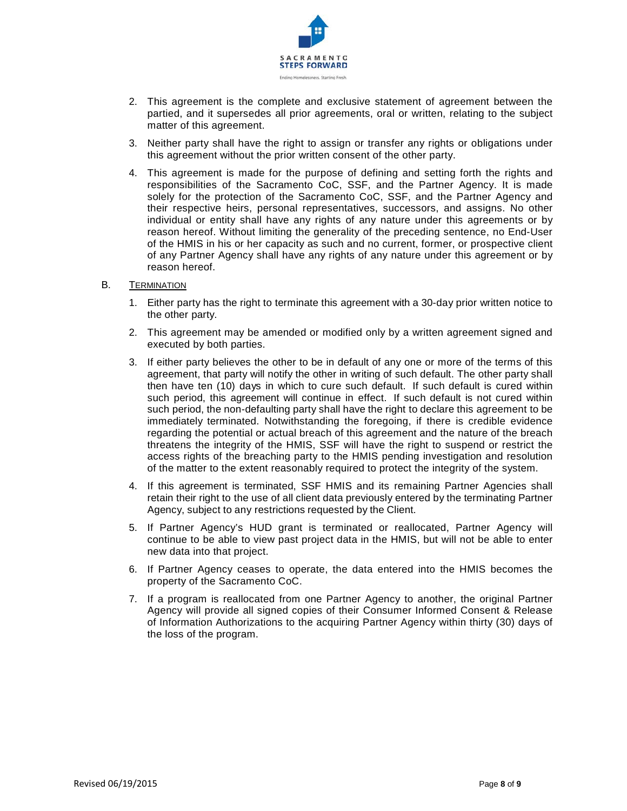

- 2. This agreement is the complete and exclusive statement of agreement between the partied, and it supersedes all prior agreements, oral or written, relating to the subject matter of this agreement.
- 3. Neither party shall have the right to assign or transfer any rights or obligations under this agreement without the prior written consent of the other party.
- 4. This agreement is made for the purpose of defining and setting forth the rights and responsibilities of the Sacramento CoC, SSF, and the Partner Agency. It is made solely for the protection of the Sacramento CoC, SSF, and the Partner Agency and their respective heirs, personal representatives, successors, and assigns. No other individual or entity shall have any rights of any nature under this agreements or by reason hereof. Without limiting the generality of the preceding sentence, no End-User of the HMIS in his or her capacity as such and no current, former, or prospective client of any Partner Agency shall have any rights of any nature under this agreement or by reason hereof.
- $B<sub>1</sub>$ **TERMINATION** 
	- 1. Either party has the right to terminate this agreement with a 30-day prior written notice to the other party.
	- 2. This agreement may be amended or modified only by a written agreement signed and executed by both parties.
	- 3. If either party believes the other to be in default of any one or more of the terms of this agreement, that party will notify the other in writing of such default. The other party shall then have ten (10) days in which to cure such default. If such default is cured within such period, this agreement will continue in effect. If such default is not cured within such period, the non-defaulting party shall have the right to declare this agreement to be immediately terminated. Notwithstanding the foregoing, if there is credible evidence regarding the potential or actual breach of this agreement and the nature of the breach threatens the integrity of the HMIS, SSF will have the right to suspend or restrict the access rights of the breaching party to the HMIS pending investigation and resolution of the matter to the extent reasonably required to protect the integrity of the system.
	- 4. If this agreement is terminated, SSF HMIS and its remaining Partner Agencies shall retain their right to the use of all client data previously entered by the terminating Partner Agency, subject to any restrictions requested by the Client.
	- 5. If Partner Agency's HUD grant is terminated or reallocated, Partner Agency will continue to be able to view past project data in the HMIS, but will not be able to enter new data into that project.
	- 6. If Partner Agency ceases to operate, the data entered into the HMIS becomes the property of the Sacramento CoC.
	- 7. If a program is reallocated from one Partner Agency to another, the original Partner Agency will provide all signed copies of their Consumer Informed Consent & Release of Information Authorizations to the acquiring Partner Agency within thirty (30) days of the loss of the program.